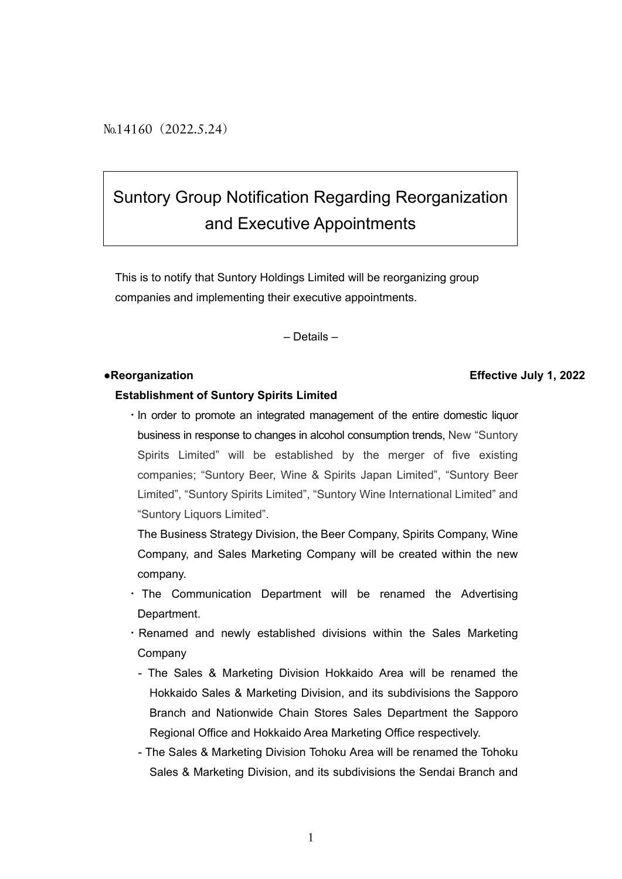No.14160 (2022.5.24)

# Suntory Group Notification Regarding Reorganization and Executive Appointments

This is to notify that Suntory Holdings Limited will be reorganizing group companies and implementing their executive appointments.

– Details –

#### ●**Reorganization Effective July 1, 2022**

### **Establishment of Suntory Spirits Limited**

・In order to promote an integrated management of the entire domestic liquor business in response to changes in alcohol consumption trends, New "Suntory Spirits Limited" will be established by the merger of five existing companies; "Suntory Beer, Wine & Spirits Japan Limited", "Suntory Beer Limited", "Suntory Spirits Limited", "Suntory Wine International Limited" and "Suntory Liquors Limited".

The Business Strategy Division, the Beer Company, Spirits Company, Wine Company, and Sales Marketing Company will be created within the new company.

- ・ The Communication Department will be renamed the Advertising Department.
- ・Renamed and newly established divisions within the Sales Marketing Company
	- The Sales & Marketing Division Hokkaido Area will be renamed the Hokkaido Sales & Marketing Division, and its subdivisions the Sapporo Branch and Nationwide Chain Stores Sales Department the Sapporo Regional Office and Hokkaido Area Marketing Office respectively.
	- The Sales & Marketing Division Tohoku Area will be renamed the Tohoku Sales & Marketing Division, and its subdivisions the Sendai Branch and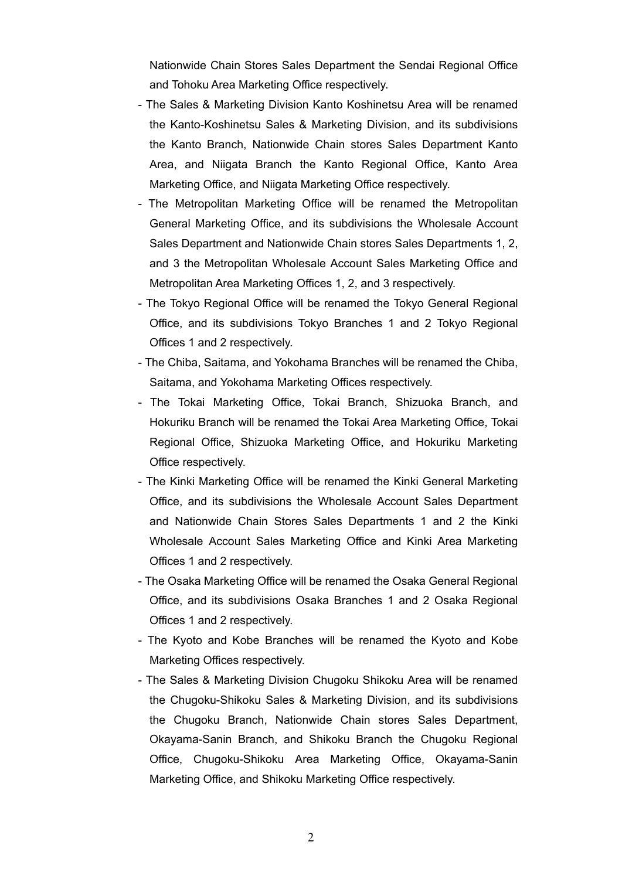Nationwide Chain Stores Sales Department the Sendai Regional Office and Tohoku Area Marketing Office respectively.

- The Sales & Marketing Division Kanto Koshinetsu Area will be renamed the Kanto-Koshinetsu Sales & Marketing Division, and its subdivisions the Kanto Branch, Nationwide Chain stores Sales Department Kanto Area, and Niigata Branch the Kanto Regional Office, Kanto Area Marketing Office, and Niigata Marketing Office respectively.
- The Metropolitan Marketing Office will be renamed the Metropolitan General Marketing Office, and its subdivisions the Wholesale Account Sales Department and Nationwide Chain stores Sales Departments 1, 2, and 3 the Metropolitan Wholesale Account Sales Marketing Office and Metropolitan Area Marketing Offices 1, 2, and 3 respectively.
- The Tokyo Regional Office will be renamed the Tokyo General Regional Office, and its subdivisions Tokyo Branches 1 and 2 Tokyo Regional Offices 1 and 2 respectively.
- The Chiba, Saitama, and Yokohama Branches will be renamed the Chiba, Saitama, and Yokohama Marketing Offices respectively.
- The Tokai Marketing Office, Tokai Branch, Shizuoka Branch, and Hokuriku Branch will be renamed the Tokai Area Marketing Office, Tokai Regional Office, Shizuoka Marketing Office, and Hokuriku Marketing Office respectively.
- The Kinki Marketing Office will be renamed the Kinki General Marketing Office, and its subdivisions the Wholesale Account Sales Department and Nationwide Chain Stores Sales Departments 1 and 2 the Kinki Wholesale Account Sales Marketing Office and Kinki Area Marketing Offices 1 and 2 respectively.
- The Osaka Marketing Office will be renamed the Osaka General Regional Office, and its subdivisions Osaka Branches 1 and 2 Osaka Regional Offices 1 and 2 respectively.
- The Kyoto and Kobe Branches will be renamed the Kyoto and Kobe Marketing Offices respectively.
- The Sales & Marketing Division Chugoku Shikoku Area will be renamed the Chugoku-Shikoku Sales & Marketing Division, and its subdivisions the Chugoku Branch, Nationwide Chain stores Sales Department, Okayama-Sanin Branch, and Shikoku Branch the Chugoku Regional Office, Chugoku-Shikoku Area Marketing Office, Okayama-Sanin Marketing Office, and Shikoku Marketing Office respectively.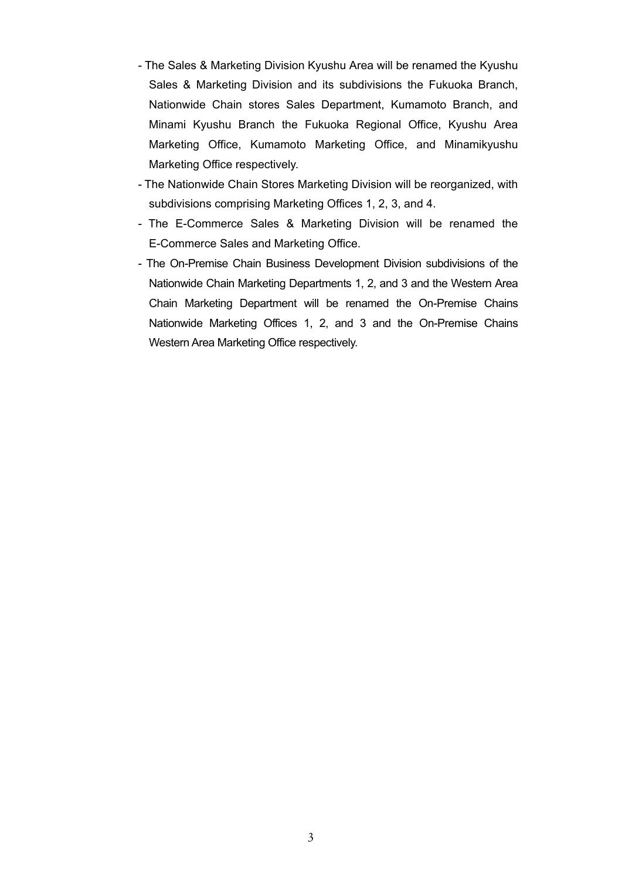- The Sales & Marketing Division Kyushu Area will be renamed the Kyushu Sales & Marketing Division and its subdivisions the Fukuoka Branch, Nationwide Chain stores Sales Department, Kumamoto Branch, and Minami Kyushu Branch the Fukuoka Regional Office, Kyushu Area Marketing Office, Kumamoto Marketing Office, and Minamikyushu Marketing Office respectively.
- The Nationwide Chain Stores Marketing Division will be reorganized, with subdivisions comprising Marketing Offices 1, 2, 3, and 4.
- The E-Commerce Sales & Marketing Division will be renamed the E-Commerce Sales and Marketing Office.
- The On-Premise Chain Business Development Division subdivisions of the Nationwide Chain Marketing Departments 1, 2, and 3 and the Western Area Chain Marketing Department will be renamed the On-Premise Chains Nationwide Marketing Offices 1, 2, and 3 and the On-Premise Chains Western Area Marketing Office respectively.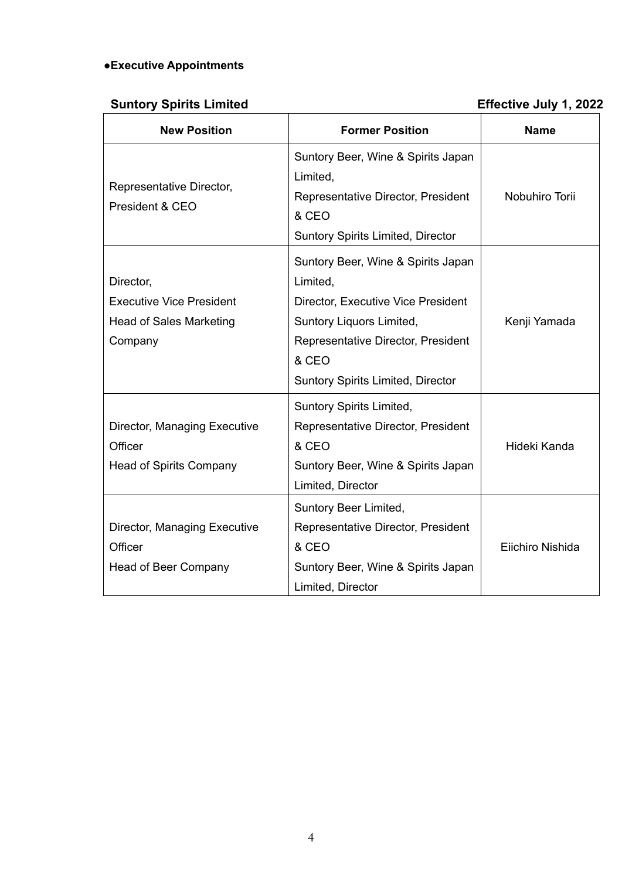# **●Executive Appointments**

# **Suntory Spirits Limited Effective July 1, 2022**

| <b>New Position</b>                                                                       | <b>Former Position</b>                                                                                                                                                                                      | <b>Name</b>      |
|-------------------------------------------------------------------------------------------|-------------------------------------------------------------------------------------------------------------------------------------------------------------------------------------------------------------|------------------|
| Representative Director,<br>President & CEO                                               | Suntory Beer, Wine & Spirits Japan<br>Limited,<br>Representative Director, President<br>& CEO<br><b>Suntory Spirits Limited, Director</b>                                                                   | Nobuhiro Torii   |
| Director,<br><b>Executive Vice President</b><br><b>Head of Sales Marketing</b><br>Company | Suntory Beer, Wine & Spirits Japan<br>Limited,<br>Director, Executive Vice President<br>Suntory Liquors Limited,<br>Representative Director, President<br>& CEO<br><b>Suntory Spirits Limited, Director</b> | Kenji Yamada     |
| Director, Managing Executive<br>Officer<br><b>Head of Spirits Company</b>                 | <b>Suntory Spirits Limited,</b><br>Representative Director, President<br>& CEO<br>Suntory Beer, Wine & Spirits Japan<br>Limited, Director                                                                   | Hideki Kanda     |
| Director, Managing Executive<br>Officer<br><b>Head of Beer Company</b>                    | Suntory Beer Limited,<br>Representative Director, President<br>& CEO<br>Suntory Beer, Wine & Spirits Japan<br>Limited, Director                                                                             | Eiichiro Nishida |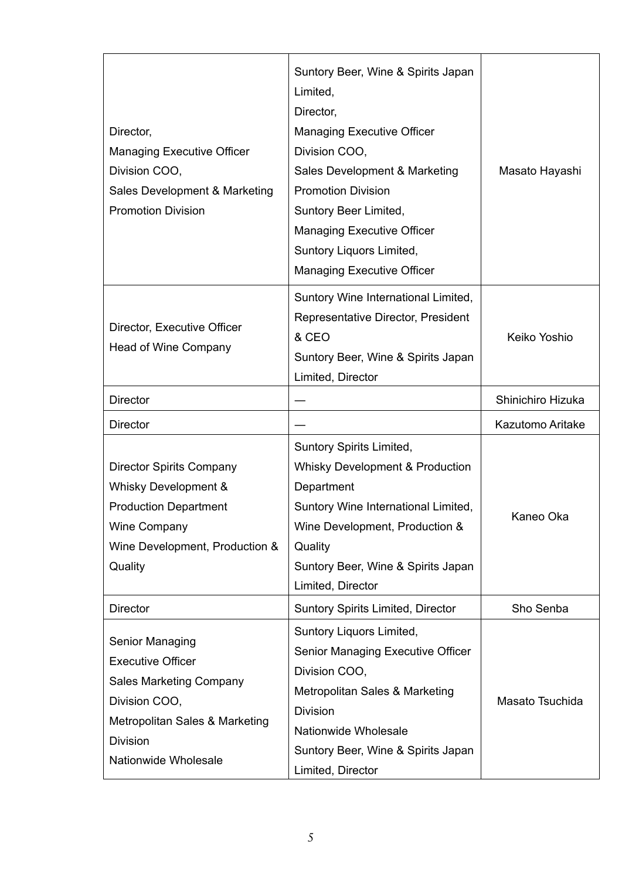| Director,<br><b>Managing Executive Officer</b><br>Division COO,<br>Sales Development & Marketing<br><b>Promotion Division</b>                                               | Suntory Beer, Wine & Spirits Japan<br>Limited,<br>Director,<br><b>Managing Executive Officer</b><br>Division COO,<br>Sales Development & Marketing<br><b>Promotion Division</b><br>Suntory Beer Limited,<br><b>Managing Executive Officer</b><br>Suntory Liquors Limited,<br><b>Managing Executive Officer</b> | Masato Hayashi          |
|-----------------------------------------------------------------------------------------------------------------------------------------------------------------------------|----------------------------------------------------------------------------------------------------------------------------------------------------------------------------------------------------------------------------------------------------------------------------------------------------------------|-------------------------|
| Director, Executive Officer<br>Head of Wine Company                                                                                                                         | Suntory Wine International Limited,<br>Representative Director, President<br>& CEO<br>Suntory Beer, Wine & Spirits Japan<br>Limited, Director                                                                                                                                                                  | Keiko Yoshio            |
| <b>Director</b>                                                                                                                                                             |                                                                                                                                                                                                                                                                                                                | Shinichiro Hizuka       |
| <b>Director</b>                                                                                                                                                             |                                                                                                                                                                                                                                                                                                                | <b>Kazutomo Aritake</b> |
| <b>Director Spirits Company</b><br>Whisky Development &<br><b>Production Department</b><br><b>Wine Company</b><br>Wine Development, Production &<br>Quality                 | Suntory Spirits Limited,<br><b>Whisky Development &amp; Production</b><br>Department<br>Suntory Wine International Limited,<br>Wine Development, Production &<br>Quality<br>Suntory Beer, Wine & Spirits Japan<br>Limited, Director                                                                            | Kaneo Oka               |
| <b>Director</b>                                                                                                                                                             | <b>Suntory Spirits Limited, Director</b>                                                                                                                                                                                                                                                                       | Sho Senba               |
| Senior Managing<br><b>Executive Officer</b><br><b>Sales Marketing Company</b><br>Division COO,<br>Metropolitan Sales & Marketing<br><b>Division</b><br>Nationwide Wholesale | Suntory Liquors Limited,<br>Senior Managing Executive Officer<br>Division COO,<br>Metropolitan Sales & Marketing<br><b>Division</b><br>Nationwide Wholesale<br>Suntory Beer, Wine & Spirits Japan<br>Limited, Director                                                                                         | Masato Tsuchida         |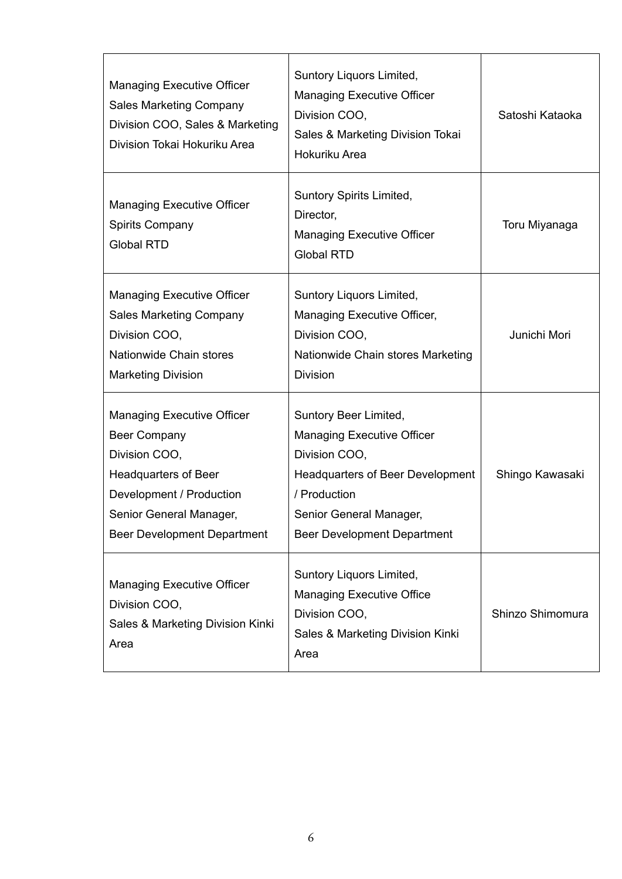| <b>Managing Executive Officer</b><br><b>Sales Marketing Company</b><br>Division COO, Sales & Marketing<br>Division Tokai Hokuriku Area                                                         | Suntory Liquors Limited,<br><b>Managing Executive Officer</b><br>Division COO,<br>Sales & Marketing Division Tokai<br>Hokuriku Area                                                                     | Satoshi Kataoka  |
|------------------------------------------------------------------------------------------------------------------------------------------------------------------------------------------------|---------------------------------------------------------------------------------------------------------------------------------------------------------------------------------------------------------|------------------|
| <b>Managing Executive Officer</b><br><b>Spirits Company</b><br><b>Global RTD</b>                                                                                                               | Suntory Spirits Limited,<br>Director,<br><b>Managing Executive Officer</b><br><b>Global RTD</b>                                                                                                         | Toru Miyanaga    |
| <b>Managing Executive Officer</b><br><b>Sales Marketing Company</b><br>Division COO,<br>Nationwide Chain stores<br><b>Marketing Division</b>                                                   | Suntory Liquors Limited,<br>Managing Executive Officer,<br>Division COO,<br>Nationwide Chain stores Marketing<br><b>Division</b>                                                                        | Junichi Mori     |
| <b>Managing Executive Officer</b><br>Beer Company<br>Division COO,<br><b>Headquarters of Beer</b><br>Development / Production<br>Senior General Manager,<br><b>Beer Development Department</b> | Suntory Beer Limited,<br><b>Managing Executive Officer</b><br>Division COO,<br><b>Headquarters of Beer Development</b><br>/ Production<br>Senior General Manager,<br><b>Beer Development Department</b> | Shingo Kawasaki  |
| <b>Managing Executive Officer</b><br>Division COO,<br>Sales & Marketing Division Kinki<br>Area                                                                                                 | Suntory Liquors Limited,<br><b>Managing Executive Office</b><br>Division COO,<br>Sales & Marketing Division Kinki<br>Area                                                                               | Shinzo Shimomura |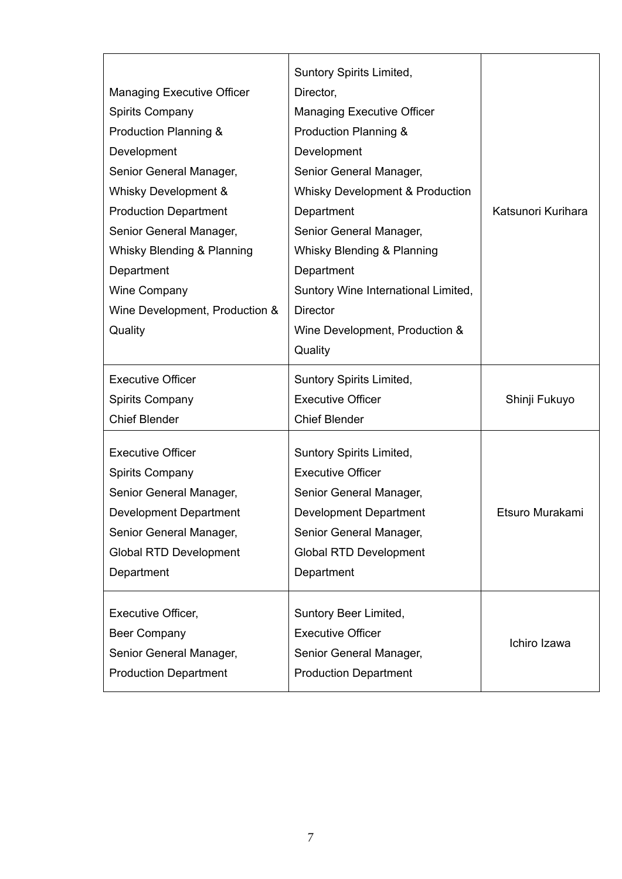|                                   | Suntory Spirits Limited,                   |                    |
|-----------------------------------|--------------------------------------------|--------------------|
| <b>Managing Executive Officer</b> | Director,                                  |                    |
| <b>Spirits Company</b>            | <b>Managing Executive Officer</b>          |                    |
| Production Planning &             | Production Planning &                      |                    |
| Development                       | Development                                |                    |
| Senior General Manager,           | Senior General Manager,                    |                    |
| Whisky Development &              | <b>Whisky Development &amp; Production</b> |                    |
| <b>Production Department</b>      | Department                                 | Katsunori Kurihara |
| Senior General Manager,           | Senior General Manager,                    |                    |
| Whisky Blending & Planning        | Whisky Blending & Planning                 |                    |
| Department                        | Department                                 |                    |
| <b>Wine Company</b>               | Suntory Wine International Limited,        |                    |
| Wine Development, Production &    | <b>Director</b>                            |                    |
| Quality                           | Wine Development, Production &             |                    |
|                                   | Quality                                    |                    |
| <b>Executive Officer</b>          | Suntory Spirits Limited,                   |                    |
| <b>Spirits Company</b>            | <b>Executive Officer</b>                   | Shinji Fukuyo      |
| <b>Chief Blender</b>              | <b>Chief Blender</b>                       |                    |
| <b>Executive Officer</b>          | <b>Suntory Spirits Limited,</b>            |                    |
| <b>Spirits Company</b>            | <b>Executive Officer</b>                   |                    |
| Senior General Manager,           | Senior General Manager,                    |                    |
| <b>Development Department</b>     | <b>Development Department</b>              | Etsuro Murakami    |
| Senior General Manager,           | Senior General Manager,                    |                    |
| <b>Global RTD Development</b>     | <b>Global RTD Development</b>              |                    |
| Department                        | Department                                 |                    |
|                                   |                                            |                    |
| <b>Executive Officer,</b>         | Suntory Beer Limited,                      |                    |
| <b>Beer Company</b>               | <b>Executive Officer</b>                   | Ichiro Izawa       |
| Senior General Manager,           | Senior General Manager,                    |                    |
| <b>Production Department</b>      | <b>Production Department</b>               |                    |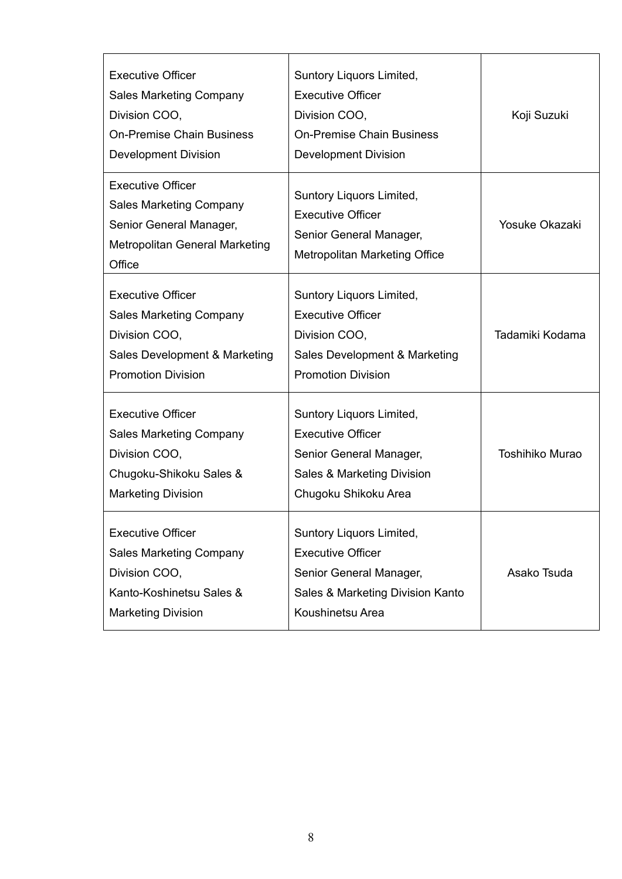| <b>Executive Officer</b><br><b>Sales Marketing Company</b><br>Division COO,<br><b>On-Premise Chain Business</b><br><b>Development Division</b> | Suntory Liquors Limited,<br><b>Executive Officer</b><br>Division COO,<br><b>On-Premise Chain Business</b><br><b>Development Division</b> | Koji Suzuki            |
|------------------------------------------------------------------------------------------------------------------------------------------------|------------------------------------------------------------------------------------------------------------------------------------------|------------------------|
| <b>Executive Officer</b><br><b>Sales Marketing Company</b><br>Senior General Manager,<br><b>Metropolitan General Marketing</b><br>Office       | Suntory Liquors Limited,<br><b>Executive Officer</b><br>Senior General Manager,<br><b>Metropolitan Marketing Office</b>                  | <b>Yosuke Okazaki</b>  |
| <b>Executive Officer</b><br><b>Sales Marketing Company</b><br>Division COO,<br>Sales Development & Marketing<br><b>Promotion Division</b>      | Suntory Liquors Limited,<br><b>Executive Officer</b><br>Division COO,<br>Sales Development & Marketing<br><b>Promotion Division</b>      | Tadamiki Kodama        |
| <b>Executive Officer</b><br><b>Sales Marketing Company</b><br>Division COO,<br>Chugoku-Shikoku Sales &<br><b>Marketing Division</b>            | Suntory Liquors Limited,<br><b>Executive Officer</b><br>Senior General Manager,<br>Sales & Marketing Division<br>Chugoku Shikoku Area    | <b>Toshihiko Murao</b> |
| <b>Executive Officer</b><br><b>Sales Marketing Company</b><br>Division COO,<br>Kanto-Koshinetsu Sales &<br><b>Marketing Division</b>           | Suntory Liquors Limited,<br><b>Executive Officer</b><br>Senior General Manager,<br>Sales & Marketing Division Kanto<br>Koushinetsu Area  | Asako Tsuda            |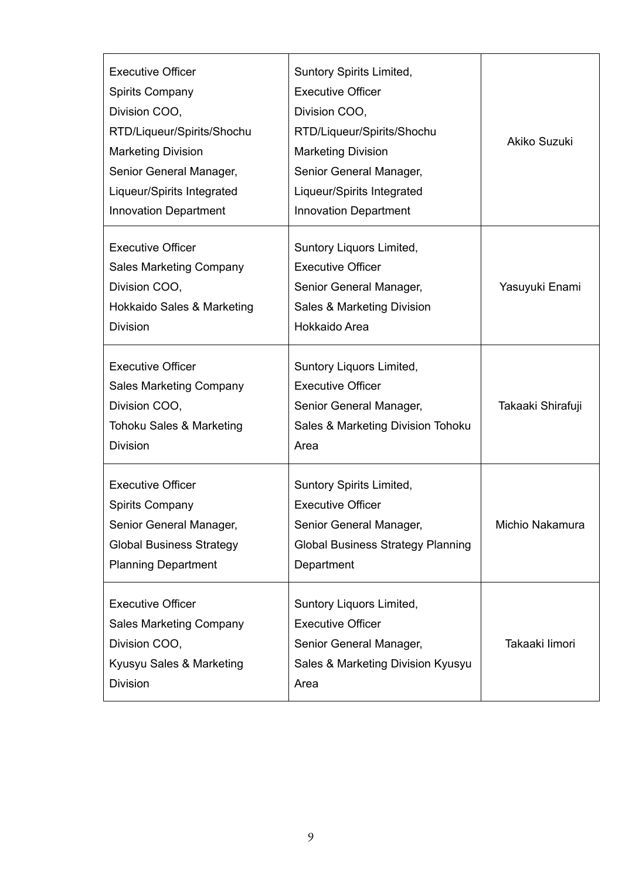| <b>Executive Officer</b><br><b>Spirits Company</b><br>Division COO,<br>RTD/Liqueur/Spirits/Shochu<br><b>Marketing Division</b><br>Senior General Manager,<br>Liqueur/Spirits Integrated<br><b>Innovation Department</b> | Suntory Spirits Limited,<br><b>Executive Officer</b><br>Division COO,<br>RTD/Liqueur/Spirits/Shochu<br><b>Marketing Division</b><br>Senior General Manager,<br>Liqueur/Spirits Integrated<br><b>Innovation Department</b> | Akiko Suzuki      |
|-------------------------------------------------------------------------------------------------------------------------------------------------------------------------------------------------------------------------|---------------------------------------------------------------------------------------------------------------------------------------------------------------------------------------------------------------------------|-------------------|
| <b>Executive Officer</b><br><b>Sales Marketing Company</b><br>Division COO,<br>Hokkaido Sales & Marketing<br><b>Division</b>                                                                                            | Suntory Liquors Limited,<br><b>Executive Officer</b><br>Senior General Manager,<br>Sales & Marketing Division<br>Hokkaido Area                                                                                            | Yasuyuki Enami    |
| <b>Executive Officer</b><br><b>Sales Marketing Company</b><br>Division COO,<br>Tohoku Sales & Marketing<br><b>Division</b>                                                                                              | Suntory Liquors Limited,<br><b>Executive Officer</b><br>Senior General Manager,<br>Sales & Marketing Division Tohoku<br>Area                                                                                              | Takaaki Shirafuji |
| <b>Executive Officer</b><br><b>Spirits Company</b><br>Senior General Manager,<br><b>Global Business Strategy</b><br><b>Planning Department</b>                                                                          | Suntory Spirits Limited,<br><b>Executive Officer</b><br>Senior General Manager,<br><b>Global Business Strategy Planning</b><br>Department                                                                                 | Michio Nakamura   |
| <b>Executive Officer</b><br><b>Sales Marketing Company</b><br>Division COO,<br>Kyusyu Sales & Marketing<br><b>Division</b>                                                                                              | Suntory Liquors Limited,<br><b>Executive Officer</b><br>Senior General Manager,<br>Sales & Marketing Division Kyusyu<br>Area                                                                                              | Takaaki limori    |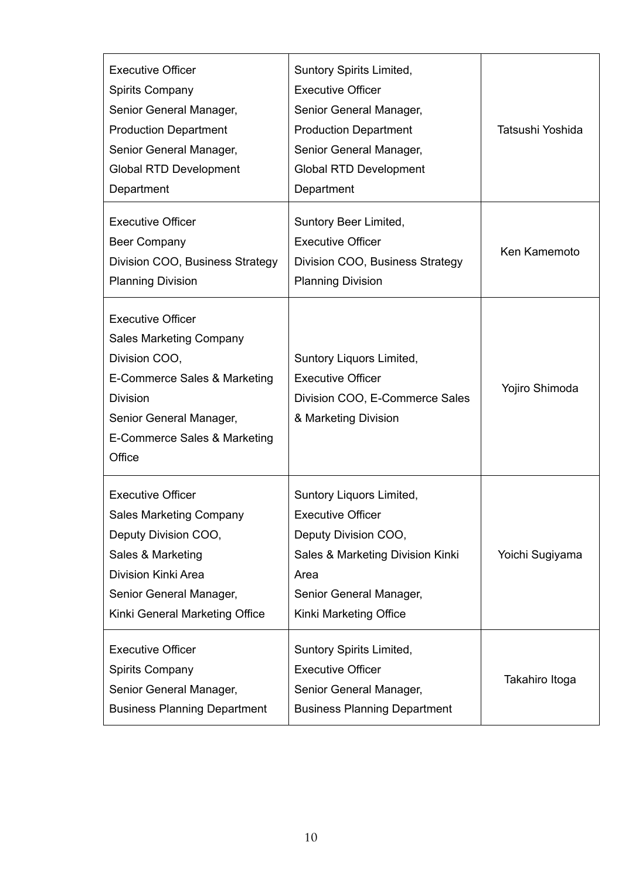| <b>Executive Officer</b><br><b>Spirits Company</b><br>Senior General Manager,<br><b>Production Department</b><br>Senior General Manager,<br><b>Global RTD Development</b><br>Department             | Suntory Spirits Limited,<br><b>Executive Officer</b><br>Senior General Manager,<br><b>Production Department</b><br>Senior General Manager,<br><b>Global RTD Development</b><br>Department | Tatsushi Yoshida |
|-----------------------------------------------------------------------------------------------------------------------------------------------------------------------------------------------------|-------------------------------------------------------------------------------------------------------------------------------------------------------------------------------------------|------------------|
| <b>Executive Officer</b><br><b>Beer Company</b><br>Division COO, Business Strategy<br><b>Planning Division</b>                                                                                      | Suntory Beer Limited,<br><b>Executive Officer</b><br>Division COO, Business Strategy<br><b>Planning Division</b>                                                                          | Ken Kamemoto     |
| <b>Executive Officer</b><br><b>Sales Marketing Company</b><br>Division COO,<br>E-Commerce Sales & Marketing<br><b>Division</b><br>Senior General Manager,<br>E-Commerce Sales & Marketing<br>Office | Suntory Liquors Limited,<br><b>Executive Officer</b><br>Division COO, E-Commerce Sales<br>& Marketing Division                                                                            | Yojiro Shimoda   |
| <b>Executive Officer</b><br><b>Sales Marketing Company</b><br>Deputy Division COO,<br>Sales & Marketing<br>Division Kinki Area<br>Senior General Manager,<br>Kinki General Marketing Office         | Suntory Liquors Limited,<br><b>Executive Officer</b><br>Deputy Division COO,<br>Sales & Marketing Division Kinki<br>Area<br>Senior General Manager,<br>Kinki Marketing Office             | Yoichi Sugiyama  |
| <b>Executive Officer</b><br><b>Spirits Company</b><br>Senior General Manager,<br><b>Business Planning Department</b>                                                                                | Suntory Spirits Limited,<br><b>Executive Officer</b><br>Senior General Manager,<br><b>Business Planning Department</b>                                                                    | Takahiro Itoga   |